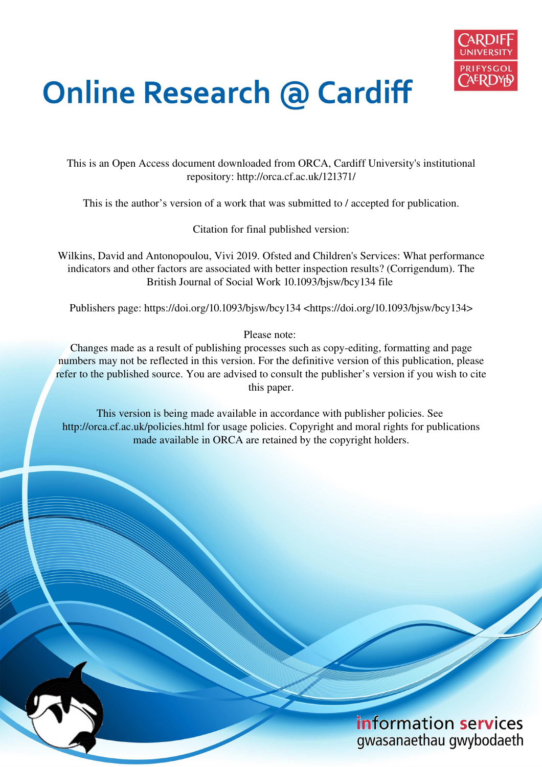

# **Online Research @ Cardiff**

This is an Open Access document downloaded from ORCA, Cardiff University's institutional repository: http://orca.cf.ac.uk/121371/

This is the author's version of a work that was submitted to / accepted for publication.

Citation for final published version:

Wilkins, David and Antonopoulou, Vivi 2019. Ofsted and Children's Services: What performance indicators and other factors are associated with better inspection results? (Corrigendum). The British Journal of Social Work 10.1093/bjsw/bcy134 file

Publishers page: https://doi.org/10.1093/bjsw/bcy134 <https://doi.org/10.1093/bjsw/bcy134>

Please note:

Changes made as a result of publishing processes such as copy-editing, formatting and page numbers may not be reflected in this version. For the definitive version of this publication, please refer to the published source. You are advised to consult the publisher's version if you wish to cite this paper.

This version is being made available in accordance with publisher policies. See http://orca.cf.ac.uk/policies.html for usage policies. Copyright and moral rights for publications made available in ORCA are retained by the copyright holders.

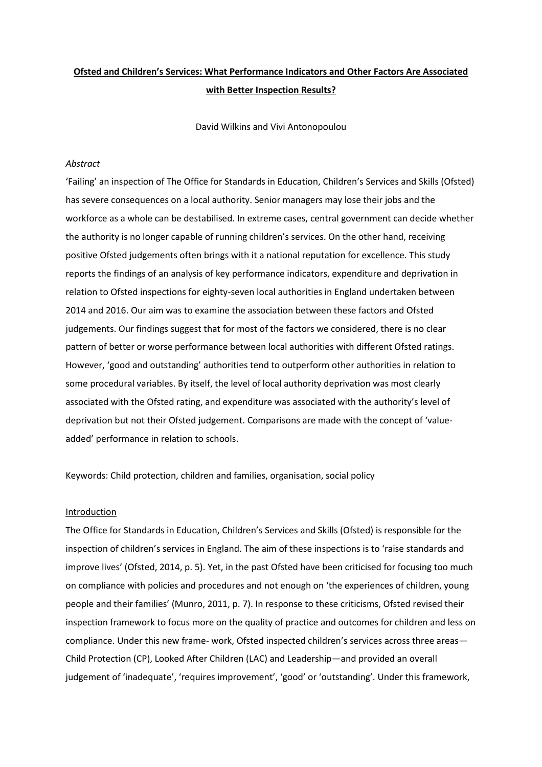## Ofsted and Children's Services: What Performance Indicators and Other Factors Are Associated with Better Inspection Results?

David Wilkins and Vivi Antonopoulou

## Abstract

'Failing' an inspection of The Office for Standards in Education, Children's Services and Skills (Ofsted) has severe consequences on a local authority. Senior managers may lose their jobs and the workforce as a whole can be destabilised. In extreme cases, central government can decide whether the authority is no longer capable of running children's services. On the other hand, receiving positive Ofsted judgements often brings with it a national reputation for excellence. This study reports the findings of an analysis of key performance indicators, expenditure and deprivation in relation to Ofsted inspections for eighty-seven local authorities in England undertaken between 2014 and 2016. Our aim was to examine the association between these factors and Ofsted judgements. Our findings suggest that for most of the factors we considered, there is no clear pattern of better or worse performance between local authorities with different Ofsted ratings. However, 'good and outstanding' authorities tend to outperform other authorities in relation to some procedural variables. By itself, the level of local authority deprivation was most clearly associated with the Ofsted rating, and expenditure was associated with the authority's level of deprivation but not their Ofsted judgement. Comparisons are made with the concept of 'valueadded' performance in relation to schools.

Keywords: Child protection, children and families, organisation, social policy

## Introduction

The Office for Standards in Education, Children's Services and Skills (Ofsted) is responsible for the inspection of children's services in England. The aim of these inspections is to 'raise standards and improve lives' (Ofsted, 2014, p. 5). Yet, in the past Ofsted have been criticised for focusing too much on compliance with policies and procedures and not enough on 'the experiences of children, young people and their families' (Munro, 2011, p. 7). In response to these criticisms, Ofsted revised their inspection framework to focus more on the quality of practice and outcomes for children and less on compliance. Under this new frame- work, Ofsted inspected children's services across three areas— Child Protection (CP), Looked After Children (LAC) and Leadership—and provided an overall judgement of 'inadequate', 'requires improvement', 'good' or 'outstanding'. Under this framework,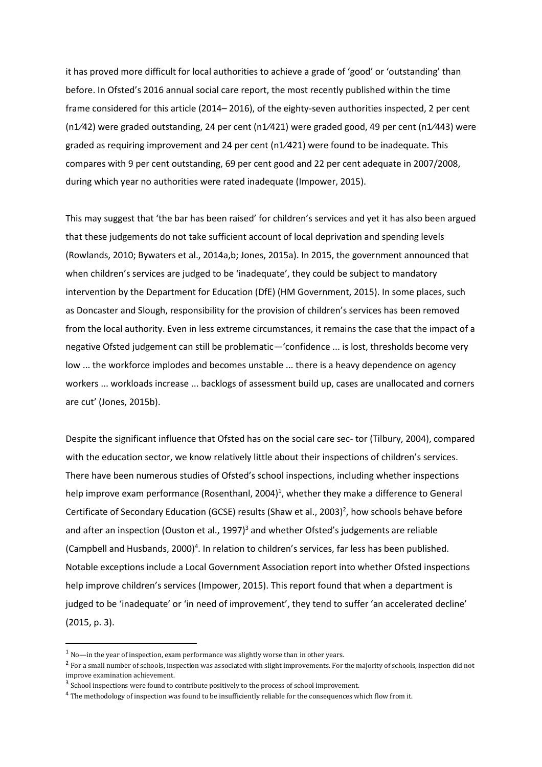it has proved more difficult for local authorities to achieve a grade of 'good' or 'outstanding' than before. In Ofsted's 2016 annual social care report, the most recently published within the time frame considered for this article (2014–2016), of the eighty-seven authorities inspected, 2 per cent  $(n1/42)$  were graded outstanding, 24 per cent (n1/421) were graded good, 49 per cent (n1/443) were graded as requiring improvement and 24 per cent (n1/421) were found to be inadequate. This compares with 9 per cent outstanding, 69 per cent good and 22 per cent adequate in 2007/2008, during which year no authorities were rated inadequate (Impower, 2015).

This may suggest that 'the bar has been raised' for children's services and yet it has also been argued that these judgements do not take sufficient account of local deprivation and spending levels (Rowlands, 2010; Bywaters et al., 2014a,b; Jones, 2015a). In 2015, the government announced that when children's services are judged to be 'inadequate', they could be subject to mandatory intervention by the Department for Education (DfE) (HM Government, 2015). In some places, such as Doncaster and Slough, responsibility for the provision of children's services has been removed from the local authority. Even in less extreme circumstances, it remains the case that the impact of a negative Ofsted judgement can still be problematic-'confidence ... is lost, thresholds become very low ... the workforce implodes and becomes unstable ... there is a heavy dependence on agency workers ... workloads increase ... backlogs of assessment build up, cases are unallocated and corners are cut' (Jones, 2015b).

Despite the significant influence that Ofsted has on the social care sec- tor (Tilbury, 2004), compared with the education sector, we know relatively little about their inspections of children's services. There have been numerous studies of Ofsted's school inspections, including whether inspections help improve exam performance (Rosenthanl, 2004)<sup>1</sup>, whether they make a difference to General Certificate of Secondary Education (GCSE) results (Shaw et al., 2003)<sup>2</sup>, how schools behave before and after an inspection (Ouston et al., 1997)<sup>3</sup> and whether Ofsted's judgements are reliable (Campbell and Husbands, 2000)<sup>4</sup>. In relation to children's services, far less has been published. Notable exceptions include a Local Government Association report into whether Ofsted inspections help improve children's services (Impower, 2015). This report found that when a department is judged to be 'inadequate' or 'in need of improvement', they tend to suffer 'an accelerated decline'  $(2015, p. 3).$ 

 $^1$  No-in the year of inspection, exam performance was slightly worse than in other years.

<sup>&</sup>lt;sup>2</sup> For a small number of schools, inspection was associated with slight improvements. For the majority of schools, inspection did not improve examination achievement.

<sup>&</sup>lt;sup>3</sup> School inspections were found to contribute positively to the process of school improvement.

<sup>&</sup>lt;sup>4</sup> The methodology of inspection was found to be insufficiently reliable for the consequences which flow from it.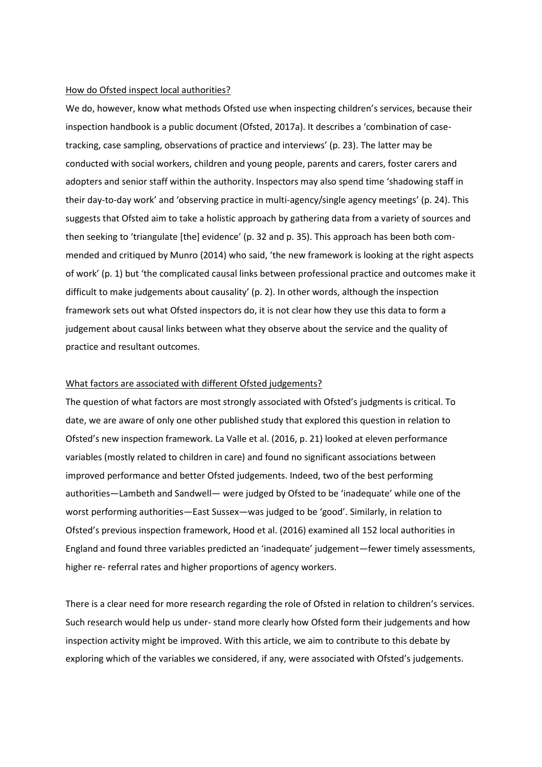## How do Ofsted inspect local authorities?

We do, however, know what methods Ofsted use when inspecting children's services, because their inspection handbook is a public document (Ofsted, 2017a). It describes a 'combination of casetracking, case sampling, observations of practice and interviews' (p. 23). The latter may be conducted with social workers, children and young people, parents and carers, foster carers and adopters and senior staff within the authority. Inspectors may also spend time 'shadowing staff in their day-to-day work' and 'observing practice in multi-agency/single agency meetings' (p. 24). This suggests that Ofsted aim to take a holistic approach by gathering data from a variety of sources and then seeking to 'triangulate [the] evidence' (p. 32 and p. 35). This approach has been both commended and critiqued by Munro (2014) who said, 'the new framework is looking at the right aspects of work' (p. 1) but 'the complicated causal links between professional practice and outcomes make it difficult to make judgements about causality' (p. 2). In other words, although the inspection framework sets out what Ofsted inspectors do, it is not clear how they use this data to form a judgement about causal links between what they observe about the service and the quality of practice and resultant outcomes.

## What factors are associated with different Ofsted judgements?

The question of what factors are most strongly associated with Ofsted's judgments is critical. To date, we are aware of only one other published study that explored this question in relation to Ofsted's new inspection framework. La Valle et al. (2016, p. 21) looked at eleven performance variables (mostly related to children in care) and found no significant associations between improved performance and better Ofsted judgements. Indeed, two of the best performing authorities—Lambeth and Sandwell— were judged by Ofsted to be 'inadequate' while one of the worst performing authorities-East Sussex-was judged to be 'good'. Similarly, in relation to Ofsted's previous inspection framework, Hood et al. (2016) examined all 152 local authorities in England and found three variables predicted an 'inadequate' judgement—fewer timely assessments, higher re- referral rates and higher proportions of agency workers.

There is a clear need for more research regarding the role of Ofsted in relation to children's services. Such research would help us under-stand more clearly how Ofsted form their judgements and how inspection activity might be improved. With this article, we aim to contribute to this debate by exploring which of the variables we considered, if any, were associated with Ofsted's judgements.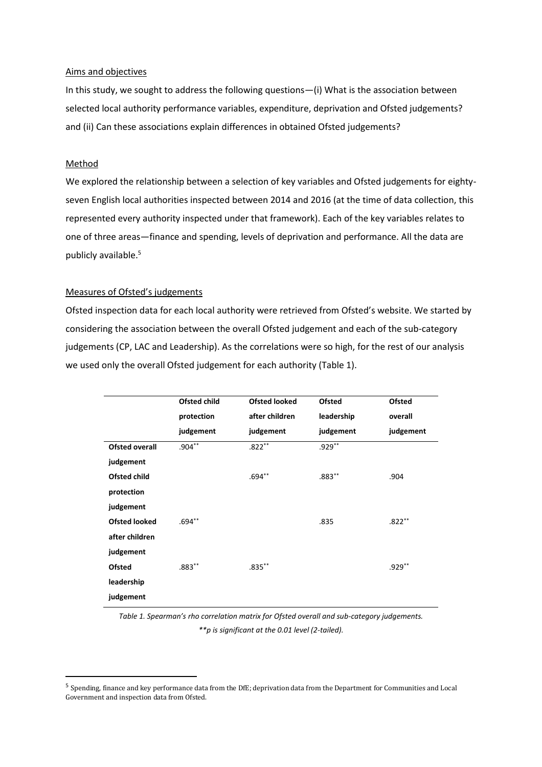## Aims and objectives

In this study, we sought to address the following questions-(i) What is the association between selected local authority performance variables, expenditure, deprivation and Ofsted judgements? and (ii) Can these associations explain differences in obtained Ofsted judgements?

## Method

We explored the relationship between a selection of key variables and Ofsted judgements for eightyseven English local authorities inspected between 2014 and 2016 (at the time of data collection, this represented every authority inspected under that framework). Each of the key variables relates to one of three areas—finance and spending, levels of deprivation and performance. All the data are publicly available.<sup>5</sup>

## **Measures of Ofsted's judgements**

Ofsted inspection data for each local authority were retrieved from Ofsted's website. We started by considering the association between the overall Ofsted judgement and each of the sub-category judgements (CP, LAC and Leadership). As the correlations were so high, for the rest of our analysis we used only the overall Ofsted judgement for each authority (Table 1).

|                       | <b>Ofsted child</b> | <b>Ofsted looked</b> | <b>Ofsted</b> | <b>Ofsted</b> |
|-----------------------|---------------------|----------------------|---------------|---------------|
|                       | protection          | after children       | leadership    | overall       |
|                       | judgement           | judgement            | judgement     | judgement     |
| <b>Ofsted overall</b> | $.904***$           | $.822***$            | $.929**$      |               |
| judgement             |                     |                      |               |               |
| <b>Ofsted child</b>   |                     | $.694**$             | $.883**$      | .904          |
| protection            |                     |                      |               |               |
| judgement             |                     |                      |               |               |
| <b>Ofsted looked</b>  | $.694**$            |                      | .835          | $.822***$     |
| after children        |                     |                      |               |               |
| judgement             |                     |                      |               |               |
| <b>Ofsted</b>         | $.883**$            | $.835***$            |               | $.929**$      |
| leadership            |                     |                      |               |               |
| judgement             |                     |                      |               |               |

Table 1. Spearman's rho correlation matrix for Ofsted overall and sub-category judgements. \*\*p is significant at the 0.01 level (2-tailed).

<sup>&</sup>lt;sup>5</sup> Spending, finance and key performance data from the DfE; deprivation data from the Department for Communities and Local Government and inspection data from Ofsted.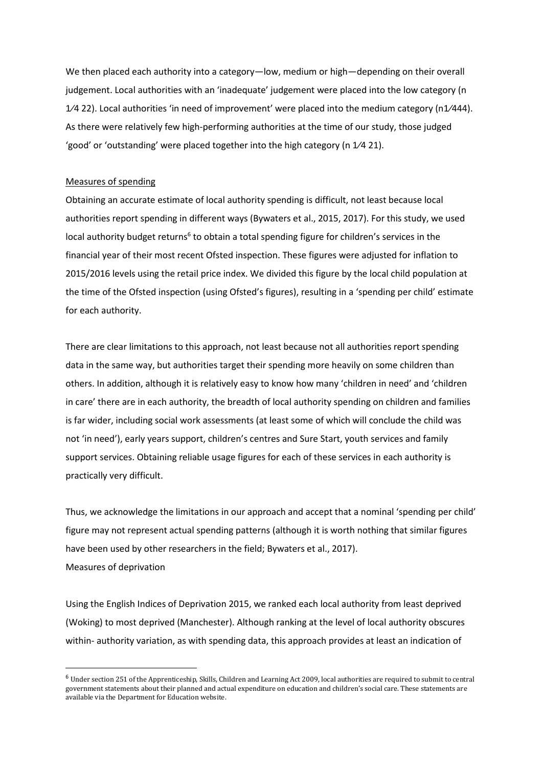We then placed each authority into a category-low, medium or high-depending on their overall judgement. Local authorities with an 'inadequate' judgement were placed into the low category (n  $1/4$  22). Local authorities 'in need of improvement' were placed into the medium category (n1/444). As there were relatively few high-performing authorities at the time of our study, those judged 'good' or 'outstanding' were placed together into the high category ( $n \frac{1}{4}$  21).

## **Measures of spending**

Obtaining an accurate estimate of local authority spending is difficult, not least because local authorities report spending in different ways (Bywaters et al., 2015, 2017). For this study, we used local authority budget returns<sup>6</sup> to obtain a total spending figure for children's services in the financial year of their most recent Ofsted inspection. These figures were adjusted for inflation to 2015/2016 levels using the retail price index. We divided this figure by the local child population at the time of the Ofsted inspection (using Ofsted's figures), resulting in a 'spending per child' estimate for each authority.

There are clear limitations to this approach, not least because not all authorities report spending data in the same way, but authorities target their spending more heavily on some children than others. In addition, although it is relatively easy to know how many 'children in need' and 'children in care' there are in each authority, the breadth of local authority spending on children and families is far wider, including social work assessments (at least some of which will conclude the child was not 'in need'), early years support, children's centres and Sure Start, youth services and family support services. Obtaining reliable usage figures for each of these services in each authority is practically very difficult.

Thus, we acknowledge the limitations in our approach and accept that a nominal 'spending per child' figure may not represent actual spending patterns (although it is worth nothing that similar figures have been used by other researchers in the field; Bywaters et al., 2017). Measures of deprivation

Using the English Indices of Deprivation 2015, we ranked each local authority from least deprived (Woking) to most deprived (Manchester). Although ranking at the level of local authority obscures within- authority variation, as with spending data, this approach provides at least an indication of

 $6$  Under section 251 of the Apprenticeship, Skills, Children and Learning Act 2009, local authorities are required to submit to central government statements about their planned and actual expenditure on education and children's social care. These statements are available via the Department for Education website.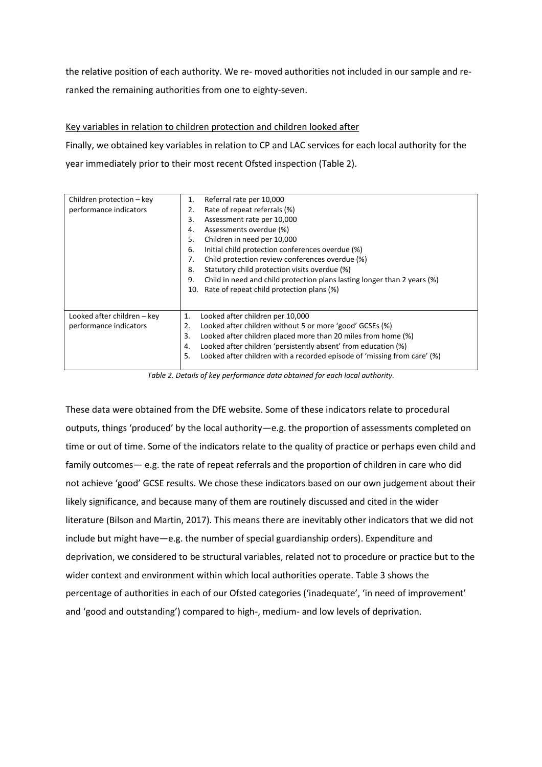the relative position of each authority. We re- moved authorities not included in our sample and reranked the remaining authorities from one to eighty-seven.

Key variables in relation to children protection and children looked after

Finally, we obtained key variables in relation to CP and LAC services for each local authority for the year immediately prior to their most recent Ofsted inspection (Table 2).

| Children protection - key   | Referral rate per 10,000<br>1.                                                 |
|-----------------------------|--------------------------------------------------------------------------------|
| performance indicators      | Rate of repeat referrals (%)<br>2.                                             |
|                             | Assessment rate per 10,000<br>3.                                               |
|                             | Assessments overdue (%)<br>4.                                                  |
|                             | Children in need per 10,000<br>5.                                              |
|                             | Initial child protection conferences overdue (%)<br>6.                         |
|                             | Child protection review conferences overdue (%)<br>7.                          |
|                             | 8.<br>Statutory child protection visits overdue (%)                            |
|                             | Child in need and child protection plans lasting longer than 2 years (%)<br>9. |
|                             | Rate of repeat child protection plans (%)<br>10.                               |
|                             |                                                                                |
|                             |                                                                                |
| Looked after children – key | Looked after children per 10,000<br>1.                                         |
| performance indicators      | 2.<br>Looked after children without 5 or more 'good' GCSEs (%)                 |
|                             | 3.<br>Looked after children placed more than 20 miles from home (%)            |
|                             | Looked after children 'persistently absent' from education (%)<br>4.           |
|                             | Looked after children with a recorded episode of 'missing from care' (%)<br>5. |
|                             |                                                                                |

Table 2. Details of key performance data obtained for each local authority.

These data were obtained from the DfE website. Some of these indicators relate to procedural outputs, things 'produced' by the local authority -e.g. the proportion of assessments completed on time or out of time. Some of the indicators relate to the quality of practice or perhaps even child and family outcomes  $-$  e.g. the rate of repeat referrals and the proportion of children in care who did not achieve 'good' GCSE results. We chose these indicators based on our own judgement about their likely significance, and because many of them are routinely discussed and cited in the wider literature (Bilson and Martin, 2017). This means there are inevitably other indicators that we did not include but might have—e.g. the number of special guardianship orders). Expenditure and deprivation, we considered to be structural variables, related not to procedure or practice but to the wider context and environment within which local authorities operate. Table 3 shows the percentage of authorities in each of our Ofsted categories ('inadequate', 'in need of improvement' and 'good and outstanding') compared to high-, medium- and low levels of deprivation.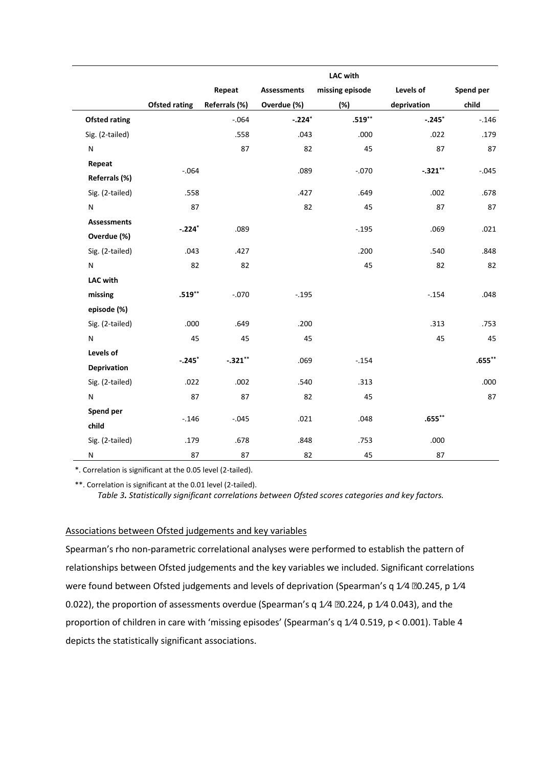|                                   |                      |               |                    | <b>LAC with</b> |             |           |
|-----------------------------------|----------------------|---------------|--------------------|-----------------|-------------|-----------|
|                                   |                      | Repeat        | <b>Assessments</b> | missing episode | Levels of   | Spend per |
|                                   | <b>Ofsted rating</b> | Referrals (%) | Overdue (%)        | (%)             | deprivation | child     |
| <b>Ofsted rating</b>              |                      | $-.064$       | $-.224*$           | $.519**$        | $-.245*$    | $-.146$   |
| Sig. (2-tailed)                   |                      | .558          | .043               | .000            | .022        | .179      |
| N                                 |                      | 87            | 82                 | 45              | 87          | 87        |
| Repeat                            | $-.064$              |               | .089               | $-.070$         | $-.321**$   | $-0.045$  |
| Referrals (%)                     |                      |               |                    |                 |             |           |
| Sig. (2-tailed)                   | .558                 |               | .427               | .649            | .002        | .678      |
| N                                 | 87                   |               | 82                 | 45              | 87          | 87        |
| <b>Assessments</b><br>Overdue (%) | $-.224*$             | .089          |                    | $-.195$         | .069        | .021      |
| Sig. (2-tailed)                   | .043                 | .427          |                    | .200            | .540        | .848      |
| N                                 | 82                   | 82            |                    | 45              | 82          | 82        |
| <b>LAC with</b>                   |                      |               |                    |                 |             |           |
| missing                           | $.519***$            | $-.070$       | $-.195$            |                 | $-.154$     | .048      |
| episode (%)                       |                      |               |                    |                 |             |           |
| Sig. (2-tailed)                   | .000                 | .649          | .200               |                 | .313        | .753      |
| N                                 | 45                   | 45            | 45                 |                 | 45          | 45        |
| Levels of                         |                      | $-.321**$     |                    |                 |             | $.655***$ |
| <b>Deprivation</b>                | $-.245*$             |               | .069               | $-.154$         |             |           |
| Sig. (2-tailed)                   | .022                 | .002          | .540               | .313            |             | .000      |
| N                                 | 87                   | 87            | 82                 | 45              |             | 87        |
| Spend per<br>child                | $-.146$              | $-.045$       | .021               | .048            | $.655***$   |           |
| Sig. (2-tailed)                   | .179                 | .678          | .848               | .753            | .000        |           |
| N                                 | 87                   | 87            | 82                 | 45              | 87          |           |

\*. Correlation is significant at the 0.05 level (2-tailed).

\*\*. Correlation is significant at the 0.01 level (2-tailed). *Table 3. Statistically significant correlations between Ofsted scores categories and key factors.* 

## Associations between Ofsted judgements and key variables

Spearman's rho non-parametric correlational analyses were performed to establish the pattern of relationships between Ofsted judgements and the key variables we included. Significant correlations were found between Ofsted judgements and levels of deprivation (Spearman's q 1/4 00.245, p 1/4 0.022), the proportion of assessments overdue (Spearman's q  $1/4$   $20.224$ , p  $1/4$  0.043), and the proportion of children in care with 'missing episodes' (Spearman's q 1/4 0.519, p < 0.001). Table 4 depicts the statistically significant associations.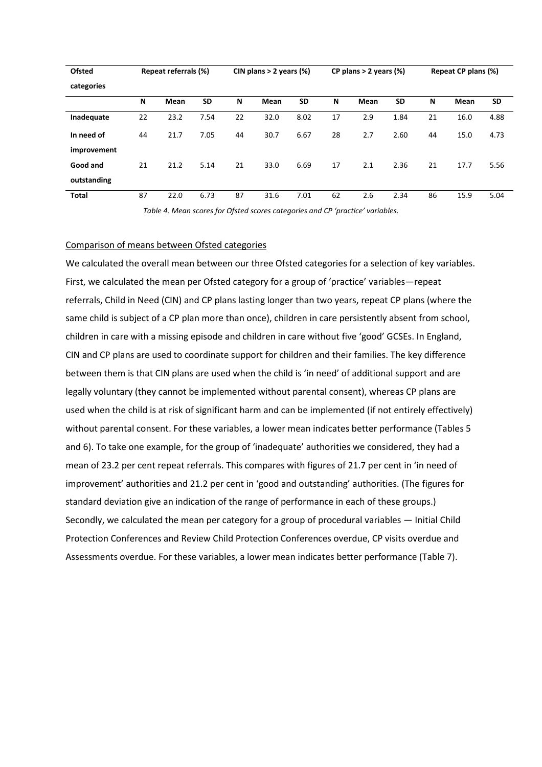| <b>Ofsted</b> |    | Repeat referrals (%) |           |    | CIN plans $>$ 2 years (%) |           | CP plans $> 2$ years (%) |      |           | Repeat CP plans (%) |      |      |
|---------------|----|----------------------|-----------|----|---------------------------|-----------|--------------------------|------|-----------|---------------------|------|------|
| categories    |    |                      |           |    |                           |           |                          |      |           |                     |      |      |
|               | N  | Mean                 | <b>SD</b> | N  | Mean                      | <b>SD</b> | N                        | Mean | <b>SD</b> | N                   | Mean | SD   |
| Inadequate    | 22 | 23.2                 | 7.54      | 22 | 32.0                      | 8.02      | 17                       | 2.9  | 1.84      | 21                  | 16.0 | 4.88 |
| In need of    | 44 | 21.7                 | 7.05      | 44 | 30.7                      | 6.67      | 28                       | 2.7  | 2.60      | 44                  | 15.0 | 4.73 |
| improvement   |    |                      |           |    |                           |           |                          |      |           |                     |      |      |
| Good and      | 21 | 21.2                 | 5.14      | 21 | 33.0                      | 6.69      | 17                       | 2.1  | 2.36      | 21                  | 17.7 | 5.56 |
| outstanding   |    |                      |           |    |                           |           |                          |      |           |                     |      |      |
| <b>Total</b>  | 87 | 22.0                 | 6.73      | 87 | 31.6                      | 7.01      | 62                       | 2.6  | 2.34      | 86                  | 15.9 | 5.04 |

Table 4. Mean scores for Ofsted scores categories and CP 'practice' variables.

## Comparison of means between Ofsted categories

We calculated the overall mean between our three Ofsted categories for a selection of key variables. First, we calculated the mean per Ofsted category for a group of 'practice' variables—repeat referrals, Child in Need (CIN) and CP plans lasting longer than two years, repeat CP plans (where the same child is subject of a CP plan more than once), children in care persistently absent from school, children in care with a missing episode and children in care without five 'good' GCSEs. In England, CIN and CP plans are used to coordinate support for children and their families. The key difference between them is that CIN plans are used when the child is 'in need' of additional support and are legally voluntary (they cannot be implemented without parental consent), whereas CP plans are used when the child is at risk of significant harm and can be implemented (if not entirely effectively) without parental consent. For these variables, a lower mean indicates better performance (Tables 5 and 6). To take one example, for the group of 'inadequate' authorities we considered, they had a mean of 23.2 per cent repeat referrals. This compares with figures of 21.7 per cent in 'in need of improvement' authorities and 21.2 per cent in 'good and outstanding' authorities. (The figures for standard deviation give an indication of the range of performance in each of these groups.) Secondly, we calculated the mean per category for a group of procedural variables - Initial Child Protection Conferences and Review Child Protection Conferences overdue, CP visits overdue and Assessments overdue. For these variables, a lower mean indicates better performance (Table 7).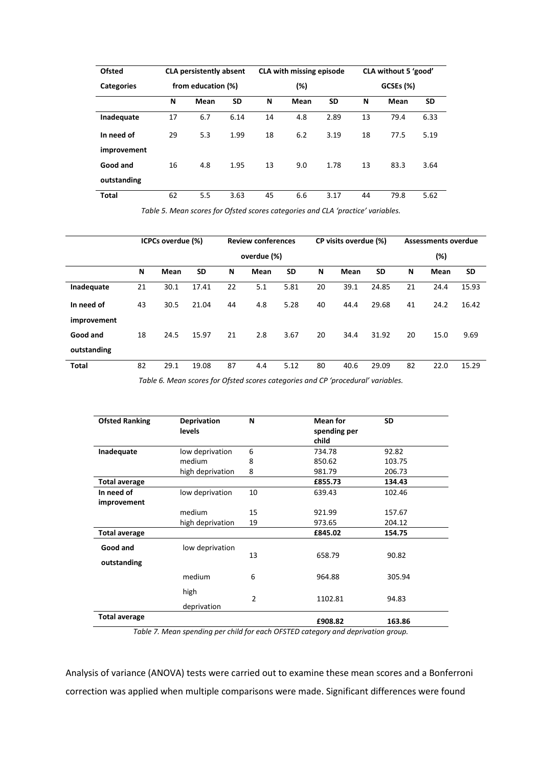| <b>Ofsted</b>     | <b>CLA persistently absent</b> |      |           |    | <b>CLA with missing episode</b> |      | CLA without 5 'good' |      |           |
|-------------------|--------------------------------|------|-----------|----|---------------------------------|------|----------------------|------|-----------|
| <b>Categories</b> | from education (%)             |      |           |    | (%)                             |      | GCSEs (%)            |      |           |
|                   | N                              | Mean | <b>SD</b> | N  | Mean                            | SD   | N                    | Mean | <b>SD</b> |
| Inadequate        | 17                             | 6.7  | 6.14      | 14 | 4.8                             | 2.89 | 13                   | 79.4 | 6.33      |
| In need of        | 29                             | 5.3  | 1.99      | 18 | 6.2                             | 3.19 | 18                   | 77.5 | 5.19      |
| improvement       |                                |      |           |    |                                 |      |                      |      |           |
| Good and          | 16                             | 4.8  | 1.95      | 13 | 9.0                             | 1.78 | 13                   | 83.3 | 3.64      |
| outstanding       |                                |      |           |    |                                 |      |                      |      |           |
| Total             | 62                             | 5.5  | 3.63      | 45 | 6.6                             | 3.17 | 44                   | 79.8 | 5.62      |

Table 5. Mean scores for Ofsted scores categories and CLA 'practice' variables.

|             | ICPCs overdue (%) |      |           |             | <b>Review conferences</b> |           | CP visits overdue (%) |      |           | <b>Assessments overdue</b> |      |           |
|-------------|-------------------|------|-----------|-------------|---------------------------|-----------|-----------------------|------|-----------|----------------------------|------|-----------|
|             |                   |      |           | overdue (%) |                           |           |                       |      |           | (%)                        |      |           |
|             | N                 | Mean | <b>SD</b> | N           | Mean                      | <b>SD</b> | N                     | Mean | <b>SD</b> | N                          | Mean | <b>SD</b> |
| Inadequate  | 21                | 30.1 | 17.41     | 22          | 5.1                       | 5.81      | 20                    | 39.1 | 24.85     | 21                         | 24.4 | 15.93     |
| In need of  | 43                | 30.5 | 21.04     | 44          | 4.8                       | 5.28      | 40                    | 44.4 | 29.68     | 41                         | 24.2 | 16.42     |
| improvement |                   |      |           |             |                           |           |                       |      |           |                            |      |           |
| Good and    | 18                | 24.5 | 15.97     | 21          | 2.8                       | 3.67      | 20                    | 34.4 | 31.92     | 20                         | 15.0 | 9.69      |
| outstanding |                   |      |           |             |                           |           |                       |      |           |                            |      |           |
| Total       | 82                | 29.1 | 19.08     | 87          | 4.4                       | 5.12      | 80                    | 40.6 | 29.09     | 82                         | 22.0 | 15.29     |

*Table 6. Mean scores for Ofsted scores categories and CP 'procedural' variables.* 

| <b>Ofsted Ranking</b>   | <b>Deprivation</b><br>levels | N              | <b>Mean for</b><br>spending per<br>child | <b>SD</b> |
|-------------------------|------------------------------|----------------|------------------------------------------|-----------|
| Inadequate              | low deprivation              | 6              | 734.78                                   | 92.82     |
|                         | medium                       | 8              | 850.62                                   | 103.75    |
|                         | high deprivation             | 8              | 981.79                                   | 206.73    |
| <b>Total average</b>    |                              |                | £855.73                                  | 134.43    |
| In need of              | low deprivation              | 10             | 639.43                                   | 102.46    |
| improvement             |                              |                |                                          |           |
|                         | medium                       | 15             | 921.99                                   | 157.67    |
|                         | high deprivation             | 19             | 973.65                                   | 204.12    |
| <b>Total average</b>    |                              |                | £845.02                                  | 154.75    |
| Good and<br>outstanding | low deprivation              | 13             | 658.79                                   | 90.82     |
|                         | medium                       | 6              | 964.88                                   | 305.94    |
|                         | high<br>deprivation          | $\overline{2}$ | 1102.81                                  | 94.83     |
| <b>Total average</b>    |                              |                | £908.82                                  | 163.86    |

*Table 7. Mean spending per child for each OFSTED category and deprivation group.* 

Analysis of variance (ANOVA) tests were carried out to examine these mean scores and a Bonferroni correction was applied when multiple comparisons were made. Significant differences were found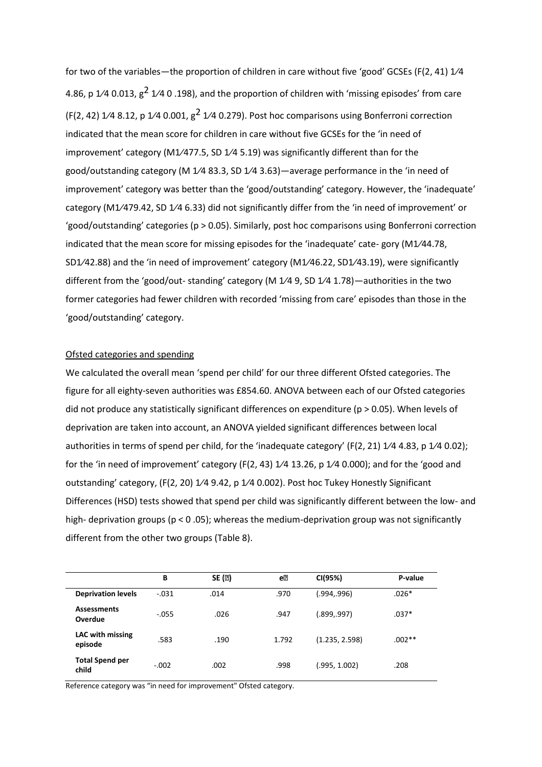for two of the variables—the proportion of children in care without five 'good' GCSEs (F(2, 41) 1/4 4.86, p  $1/4$  0.013,  $g^2$   $1/4$  0.198), and the proportion of children with 'missing episodes' from care  $($ F $(2, 42)$  1 $/4$  8.12, p 1 $/4$  0.001, g<sup>2</sup> 1 $/4$  0.279). Post hoc comparisons using Bonferroni correction indicated that the mean score for children in care without five GCSEs for the 'in need of improvement' category (M1/477.5, SD 1/4 5.19) was significantly different than for the good/outstanding category (M 1/4 83.3, SD 1/4 3.63)—average performance in the 'in need of improvement' category was better than the 'good/outstanding' category. However, the 'inadequate' category (M1/479.42, SD 1/4 6.33) did not significantly differ from the 'in need of improvement' or 'good/outstanding' categories (p > 0.05). Similarly, post hoc comparisons using Bonferroni correction indicated that the mean score for missing episodes for the 'inadequate' cate- gory (M1/44.78, SD1/42.88) and the 'in need of improvement' category (M1/46.22, SD1/43.19), were significantly different from the 'good/out- standing' category (M 1/4 9, SD 1/4 1.78)—authorities in the two former categories had fewer children with recorded 'missing from care' episodes than those in the 'good/outstanding' category.

## Ofsted categories and spending

We calculated the overall mean 'spend per child' for our three different Ofsted categories. The figure for all eighty-seven authorities was £854.60. ANOVA between each of our Ofsted categories did not produce any statistically significant differences on expenditure ( $p > 0.05$ ). When levels of deprivation are taken into account, an ANOVA yielded significant differences between local authorities in terms of spend per child, for the 'inadequate category' ( $F(2, 21)$  1/4 4.83, p 1/4 0.02); for the 'in need of improvement' category (F(2, 43)  $1/4$  13.26, p  $1/4$  0.000); and for the 'good and outstanding' category, (F(2, 20) 1/4 9.42, p 1/4 0.002). Post hoc Tukey Honestly Significant Differences (HSD) tests showed that spend per child was significantly different between the low- and high- deprivation groups ( $p < 0.05$ ); whereas the medium-deprivation group was not significantly different from the other two groups (Table 8).

|                                    | В       | SE (2) | еØ    | CI(95%)        | P-value  |
|------------------------------------|---------|--------|-------|----------------|----------|
| <b>Deprivation levels</b>          | $-.031$ | .014   | .970  | (.994,.996)    | $.026*$  |
| <b>Assessments</b><br>Overdue      | $-.055$ | .026   | .947  | (.899,.997)    | $.037*$  |
| <b>LAC with missing</b><br>episode | .583    | .190   | 1.792 | (1.235, 2.598) | $.002**$ |
| <b>Total Spend per</b><br>child    | $-.002$ | .002   | .998  | (.995, 1.002)  | .208     |

Reference category was "in need for improvement" Ofsted category.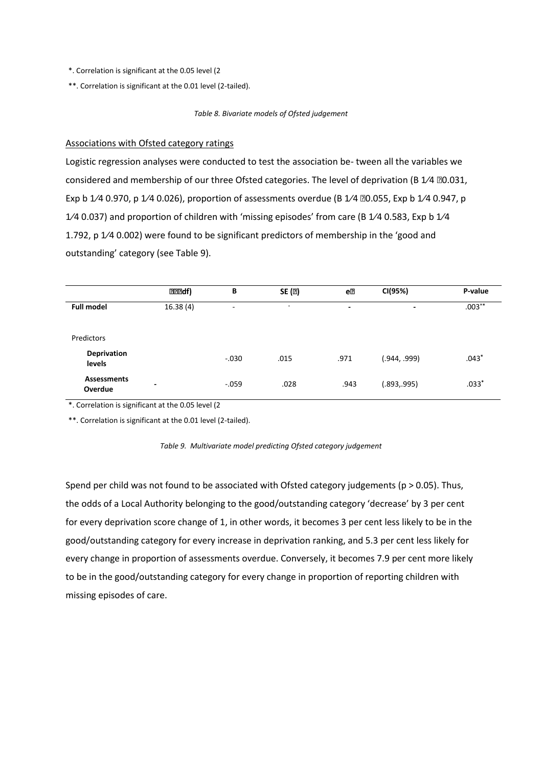- \*. Correlation is significant at the 0.05 level (2
- \*\*. Correlation is significant at the 0.01 level (2-tailed).

#### *Table 8. Bivariate models of Ofsted judgement*

## Associations with Ofsted category ratings

Logistic regression analyses were conducted to test the association be- tween all the variables we considered and membership of our three Ofsted categories. The level of deprivation (B 1/4 0.031, Exp b 1/4 0.970, p 1/4 0.026), proportion of assessments overdue (B 1/4  $\overline{20.055}$ , Exp b 1/4 0.947, p 1/4 0.037) and proportion of children with 'missing episodes' from care (B 1/4 0.583, Exp b 1/4 1.792, p 1/4 0.002) were found to be significant predictors of membership in the 'good and outstanding' category (see Table 9).

|                               | <b>222df</b> )           | В       | SE (2)                   | e2   | CI(95%)      | P-value   |
|-------------------------------|--------------------------|---------|--------------------------|------|--------------|-----------|
| <b>Full model</b>             | 16.38(4)                 | ۰       | $\overline{\phantom{a}}$ | ٠    | -            | $.003***$ |
| Predictors                    |                          |         |                          |      |              |           |
| <b>Deprivation</b><br>levels  |                          | $-.030$ | .015                     | .971 | (944, .999). | $.043*$   |
| <b>Assessments</b><br>Overdue | $\overline{\phantom{0}}$ | $-.059$ | .028                     | .943 | (.893,.995)  | $.033*$   |

\*. Correlation is significant at the 0.05 level (2

\*\*. Correlation is significant at the 0.01 level (2-tailed).

Spend per child was not found to be associated with Ofsted category judgements ( $p > 0.05$ ). Thus, the odds of a Local Authority belonging to the good/outstanding category 'decrease' by 3 per cent for every deprivation score change of 1, in other words, it becomes 3 per cent less likely to be in the good/outstanding category for every increase in deprivation ranking, and 5.3 per cent less likely for every change in proportion of assessments overdue. Conversely, it becomes 7.9 per cent more likely to be in the good/outstanding category for every change in proportion of reporting children with missing episodes of care.

*Table 9. Multivariate model predicting Ofsted category judgement*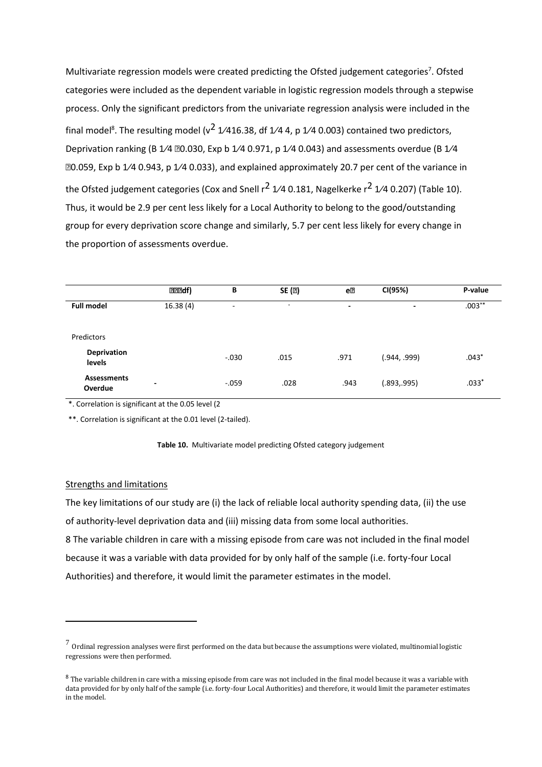Multivariate regression models were created predicting the Ofsted judgement categories<sup>7</sup>. Ofsted categories were included as the dependent variable in logistic regression models through a stepwise process. Only the significant predictors from the univariate regression analysis were included in the final model<sup>8</sup>. The resulting model (v<sup>2</sup> 1/416.38, df 1/4 4, p 1/4 0.003) contained two predictors, Deprivation ranking (B  $1/4$   $20.030$ , Exp b  $1/4$  0.971, p  $1/4$  0.043) and assessments overdue (B  $1/4$  $@0.059$ , Exp b 1/4 0.943, p 1/4 0.033), and explained approximately 20.7 per cent of the variance in the Ofsted judgement categories (Cox and Snell  $r^2$  1/4 0.181, Nagelkerke  $r^2$  1/4 0.207) (Table 10). Thus, it would be 2.9 per cent less likely for a Local Authority to belong to the good/outstanding group for every deprivation score change and similarly, 5.7 per cent less likely for every change in the proportion of assessments overdue.

|                               | <b>RRRdf)</b>            | В       | SE (2)                   | e®   | CI(95%)      | P-value   |
|-------------------------------|--------------------------|---------|--------------------------|------|--------------|-----------|
| <b>Full model</b>             | 16.38(4)                 | ٠.      | $\overline{\phantom{a}}$ | ٠    | ٠            | $.003***$ |
| Predictors                    |                          |         |                          |      |              |           |
| Deprivation<br>levels         |                          | $-.030$ | .015                     | .971 | (944, .999). | $.043*$   |
| <b>Assessments</b><br>Overdue | $\overline{\phantom{a}}$ | $-.059$ | .028                     | .943 | (.893,.995)  | $.033*$   |

\*. Correlation is significant at the 0.05 level (2

\*\*. Correlation is significant at the 0.01 level (2-tailed).



## Strengths and limitations

 $\overline{a}$ 

The key limitations of our study are (i) the lack of reliable local authority spending data, (ii) the use of authority-level deprivation data and (iii) missing data from some local authorities.

8 The variable children in care with a missing episode from care was not included in the final model because it was a variable with data provided for by only half of the sample (i.e. forty-four Local Authorities) and therefore, it would limit the parameter estimates in the model.

 $^7$  Ordinal regression analyses were first performed on the data but because the assumptions were violated, multinomial logistic regressions were then performed.

<sup>&</sup>lt;sup>8</sup> The variable children in care with a missing episode from care was not included in the final model because it was a variable with data provided for by only half of the sample (i.e. forty-four Local Authorities) and therefore, it would limit the parameter estimates in the model.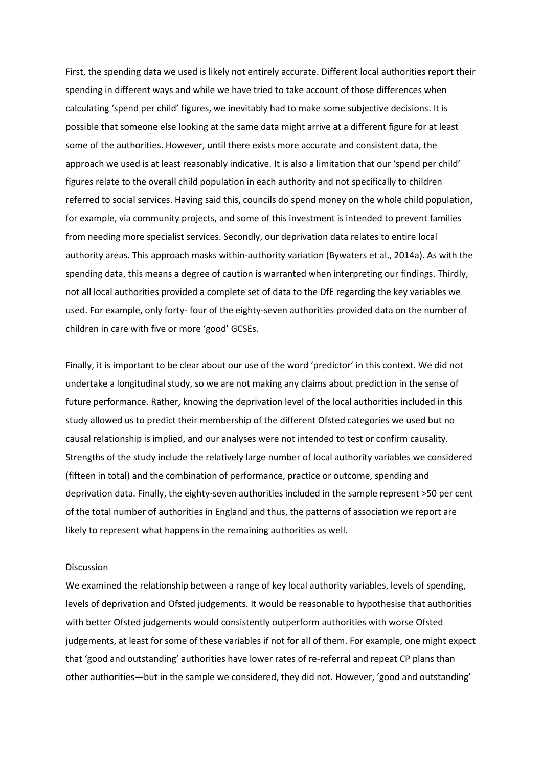First, the spending data we used is likely not entirely accurate. Different local authorities report their spending in different ways and while we have tried to take account of those differences when calculating 'spend per child' figures, we inevitably had to make some subjective decisions. It is possible that someone else looking at the same data might arrive at a different figure for at least some of the authorities. However, until there exists more accurate and consistent data, the approach we used is at least reasonably indicative. It is also a limitation that our 'spend per child' figures relate to the overall child population in each authority and not specifically to children referred to social services. Having said this, councils do spend money on the whole child population, for example, via community projects, and some of this investment is intended to prevent families from needing more specialist services. Secondly, our deprivation data relates to entire local authority areas. This approach masks within-authority variation (Bywaters et al., 2014a). As with the spending data, this means a degree of caution is warranted when interpreting our findings. Thirdly, not all local authorities provided a complete set of data to the DfE regarding the key variables we used. For example, only forty- four of the eighty-seven authorities provided data on the number of children in care with five or more 'good' GCSEs.

Finally, it is important to be clear about our use of the word 'predictor' in this context. We did not undertake a longitudinal study, so we are not making any claims about prediction in the sense of future performance. Rather, knowing the deprivation level of the local authorities included in this study allowed us to predict their membership of the different Ofsted categories we used but no causal relationship is implied, and our analyses were not intended to test or confirm causality. Strengths of the study include the relatively large number of local authority variables we considered (fifteen in total) and the combination of performance, practice or outcome, spending and deprivation data. Finally, the eighty-seven authorities included in the sample represent >50 per cent of the total number of authorities in England and thus, the patterns of association we report are likely to represent what happens in the remaining authorities as well.

#### Discussion

We examined the relationship between a range of key local authority variables, levels of spending, levels of deprivation and Ofsted judgements. It would be reasonable to hypothesise that authorities with better Ofsted judgements would consistently outperform authorities with worse Ofsted judgements, at least for some of these variables if not for all of them. For example, one might expect that 'good and outstanding' authorities have lower rates of re-referral and repeat CP plans than other authorities—but in the sample we considered, they did not. However, 'good and outstanding'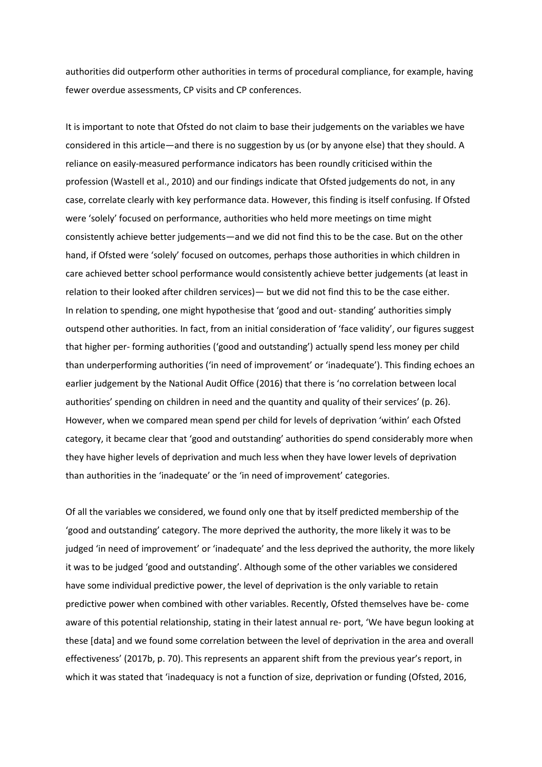authorities did outperform other authorities in terms of procedural compliance, for example, having fewer overdue assessments, CP visits and CP conferences.

It is important to note that Ofsted do not claim to base their judgements on the variables we have considered in this article—and there is no suggestion by us (or by anyone else) that they should. A reliance on easily-measured performance indicators has been roundly criticised within the profession (Wastell et al., 2010) and our findings indicate that Ofsted judgements do not, in any case, correlate clearly with key performance data. However, this finding is itself confusing. If Ofsted were 'solely' focused on performance, authorities who held more meetings on time might consistently achieve better judgements—and we did not find this to be the case. But on the other hand, if Ofsted were 'solely' focused on outcomes, perhaps those authorities in which children in care achieved better school performance would consistently achieve better judgements (at least in relation to their looked after children services) - but we did not find this to be the case either. In relation to spending, one might hypothesise that 'good and out-standing' authorities simply outspend other authorities. In fact, from an initial consideration of 'face validity', our figures suggest that higher per-forming authorities ('good and outstanding') actually spend less money per child than underperforming authorities ('in need of improvement' or 'inadequate'). This finding echoes an earlier judgement by the National Audit Office (2016) that there is 'no correlation between local authorities' spending on children in need and the quantity and quality of their services' (p. 26). However, when we compared mean spend per child for levels of deprivation 'within' each Ofsted category, it became clear that 'good and outstanding' authorities do spend considerably more when they have higher levels of deprivation and much less when they have lower levels of deprivation than authorities in the 'inadequate' or the 'in need of improvement' categories.

Of all the variables we considered, we found only one that by itself predicted membership of the 'good and outstanding' category. The more deprived the authority, the more likely it was to be judged 'in need of improvement' or 'inadequate' and the less deprived the authority, the more likely it was to be judged 'good and outstanding'. Although some of the other variables we considered have some individual predictive power, the level of deprivation is the only variable to retain predictive power when combined with other variables. Recently, Ofsted themselves have be- come aware of this potential relationship, stating in their latest annual re- port, 'We have begun looking at these [data] and we found some correlation between the level of deprivation in the area and overall effectiveness' (2017b, p. 70). This represents an apparent shift from the previous year's report, in which it was stated that 'inadequacy is not a function of size, deprivation or funding (Ofsted, 2016,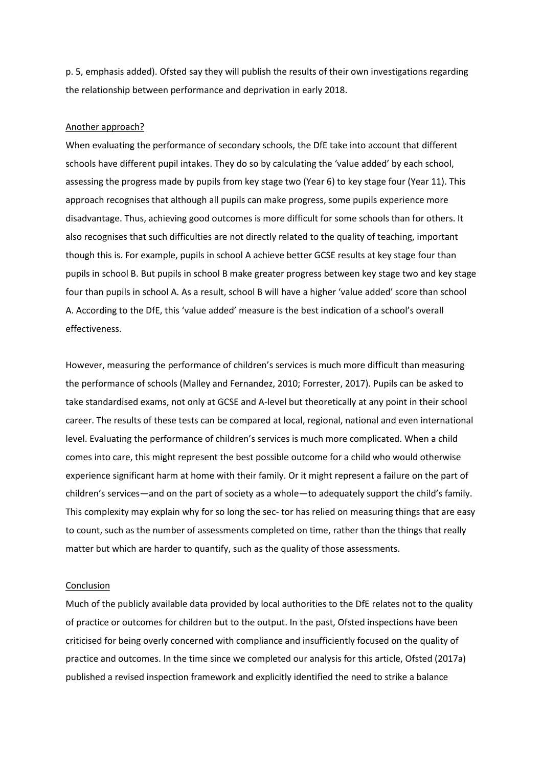p. 5, emphasis added). Ofsted say they will publish the results of their own investigations regarding the relationship between performance and deprivation in early 2018.

## Another approach?

When evaluating the performance of secondary schools, the DfE take into account that different schools have different pupil intakes. They do so by calculating the 'value added' by each school, assessing the progress made by pupils from key stage two (Year 6) to key stage four (Year 11). This approach recognises that although all pupils can make progress, some pupils experience more disadvantage. Thus, achieving good outcomes is more difficult for some schools than for others. It also recognises that such difficulties are not directly related to the quality of teaching, important though this is. For example, pupils in school A achieve better GCSE results at key stage four than pupils in school B. But pupils in school B make greater progress between key stage two and key stage four than pupils in school A. As a result, school B will have a higher 'value added' score than school A. According to the DfE, this 'value added' measure is the best indication of a school's overall effectiveness.

However, measuring the performance of children's services is much more difficult than measuring the performance of schools (Malley and Fernandez, 2010; Forrester, 2017). Pupils can be asked to take standardised exams, not only at GCSE and A-level but theoretically at any point in their school career. The results of these tests can be compared at local, regional, national and even international level. Evaluating the performance of children's services is much more complicated. When a child comes into care, this might represent the best possible outcome for a child who would otherwise experience significant harm at home with their family. Or it might represent a failure on the part of children's services—and on the part of society as a whole—to adequately support the child's family. This complexity may explain why for so long the sec- tor has relied on measuring things that are easy to count, such as the number of assessments completed on time, rather than the things that really matter but which are harder to quantify, such as the quality of those assessments.

## Conclusion

Much of the publicly available data provided by local authorities to the DfE relates not to the quality of practice or outcomes for children but to the output. In the past, Ofsted inspections have been criticised for being overly concerned with compliance and insufficiently focused on the quality of practice and outcomes. In the time since we completed our analysis for this article, Ofsted (2017a) published a revised inspection framework and explicitly identified the need to strike a balance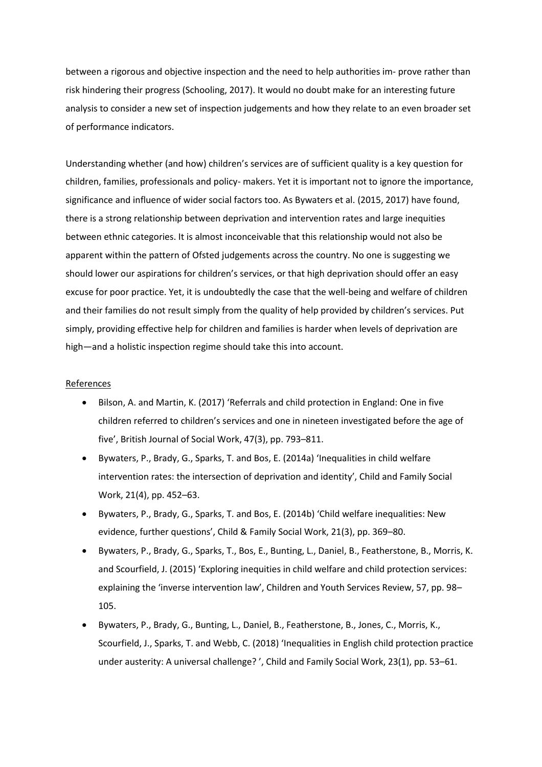between a rigorous and objective inspection and the need to help authorities im- prove rather than risk hindering their progress (Schooling, 2017). It would no doubt make for an interesting future analysis to consider a new set of inspection judgements and how they relate to an even broader set of performance indicators.

Understanding whether (and how) children's services are of sufficient quality is a key question for children, families, professionals and policy- makers. Yet it is important not to ignore the importance, significance and influence of wider social factors too. As Bywaters et al. (2015, 2017) have found, there is a strong relationship between deprivation and intervention rates and large inequities between ethnic categories. It is almost inconceivable that this relationship would not also be apparent within the pattern of Ofsted judgements across the country. No one is suggesting we should lower our aspirations for children's services, or that high deprivation should offer an easy excuse for poor practice. Yet, it is undoubtedly the case that the well-being and welfare of children and their families do not result simply from the quality of help provided by children's services. Put simply, providing effective help for children and families is harder when levels of deprivation are high—and a holistic inspection regime should take this into account.

## References

- $\bullet$ Bilson, A. and Martin, K. (2017) 'Referrals and child protection in England: One in five children referred to children's services and one in nineteen investigated before the age of five', British Journal of Social Work, 47(3), pp. 793-811.
- Bywaters, P., Brady, G., Sparks, T. and Bos, E. (2014a) 'Inequalities in child welfare intervention rates: the intersection of deprivation and identity', Child and Family Social Work, 21(4), pp. 452-63.
- Bywaters, P., Brady, G., Sparks, T. and Bos, E. (2014b) 'Child welfare inequalities: New evidence, further questions', Child & Family Social Work, 21(3), pp. 369-80.
- Bywaters, P., Brady, G., Sparks, T., Bos, E., Bunting, L., Daniel, B., Featherstone, B., Morris, K. and Scourfield, J. (2015) 'Exploring inequities in child welfare and child protection services: explaining the 'inverse intervention law', Children and Youth Services Review, 57, pp. 98-105.
- Bywaters, P., Brady, G., Bunting, L., Daniel, B., Featherstone, B., Jones, C., Morris, K., Scourfield, J., Sparks, T. and Webb, C. (2018) 'Inequalities in English child protection practice under austerity: A universal challenge?', Child and Family Social Work, 23(1), pp. 53-61.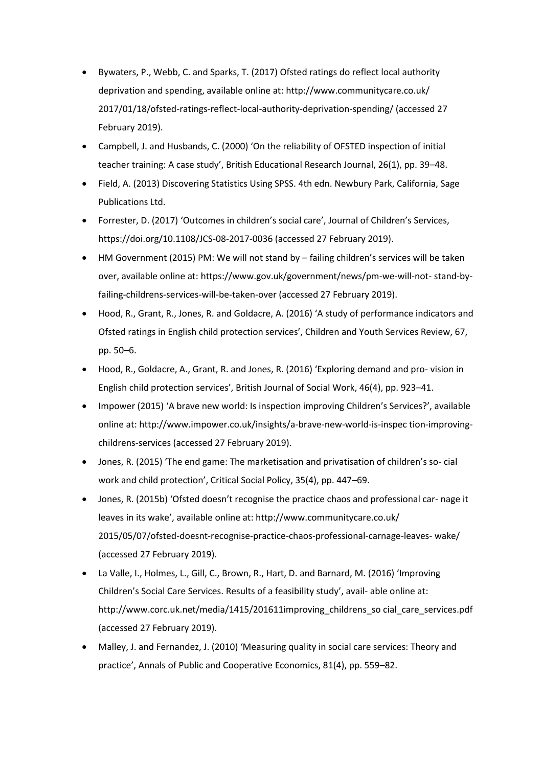- Bywaters, P., Webb, C. and Sparks, T. (2017) Ofsted ratings do reflect local authority deprivation and spending, available online at: http://www.communitycare.co.uk/ 2017/01/18/ofsted-ratings-reflect-local-authority-deprivation-spending/ (accessed 27 February 2019).
- Campbell, J. and Husbands, C. (2000) 'On the reliability of OFSTED inspection of initial teacher training: A case study', British Educational Research Journal, 26(1), pp. 39-48.
- Field, A. (2013) Discovering Statistics Using SPSS. 4th edn. Newbury Park, California, Sage Publications Ltd.
- Forrester, D. (2017) 'Outcomes in children's social care', Journal of Children's Services,  $\bullet$ https://doi.org/10.1108/JCS-08-2017-0036 (accessed 27 February 2019).
- HM Government (2015) PM: We will not stand by failing children's services will be taken  $\bullet$ over, available online at: https://www.gov.uk/government/news/pm-we-will-not-stand-byfailing-childrens-services-will-be-taken-over (accessed 27 February 2019).
- $\bullet$ Hood, R., Grant, R., Jones, R. and Goldacre, A. (2016) 'A study of performance indicators and Ofsted ratings in English child protection services', Children and Youth Services Review, 67, pp. 50-6.
- Hood, R., Goldacre, A., Grant, R. and Jones, R. (2016) 'Exploring demand and pro-vision in English child protection services', British Journal of Social Work, 46(4), pp. 923-41.
- Impower (2015) 'A brave new world: Is inspection improving Children's Services?', available online at: http://www.impower.co.uk/insights/a-brave-new-world-is-inspection-improvingchildrens-services (accessed 27 February 2019).
- Jones, R. (2015) 'The end game: The marketisation and privatisation of children's so-cial work and child protection', Critical Social Policy, 35(4), pp. 447-69.
- Jones, R. (2015b) 'Ofsted doesn't recognise the practice chaos and professional car- nage it leaves in its wake', available online at: http://www.communitycare.co.uk/ 2015/05/07/ofsted-doesnt-recognise-practice-chaos-professional-carnage-leaves-wake/ (accessed 27 February 2019).
- La Valle, I., Holmes, L., Gill, C., Brown, R., Hart, D. and Barnard, M. (2016) 'Improving Children's Social Care Services. Results of a feasibility study', avail- able online at: http://www.corc.uk.net/media/1415/201611improving\_childrens\_so cial\_care\_services.pdf (accessed 27 February 2019).
- Malley, J. and Fernandez, J. (2010) 'Measuring quality in social care services: Theory and practice', Annals of Public and Cooperative Economics, 81(4), pp. 559-82.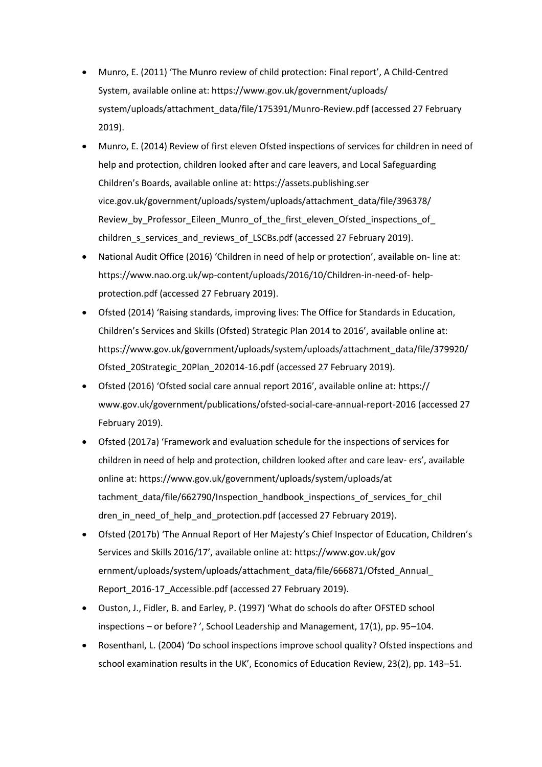- Munro, E. (2011) 'The Munro review of child protection: Final report', A Child-Centred System, available online at: https://www.gov.uk/government/uploads/ system/uploads/attachment\_data/file/175391/Munro-Review.pdf (accessed 27 February  $2019$ ).
- Munro, E. (2014) Review of first eleven Ofsted inspections of services for children in need of help and protection, children looked after and care leavers, and Local Safeguarding Children's Boards, available online at: https://assets.publishing.ser vice.gov.uk/government/uploads/system/uploads/attachment\_data/file/396378/ Review by Professor Eileen Munro of the first eleven Ofsted inspections of children\_s\_services\_and\_reviews\_of\_LSCBs.pdf (accessed 27 February 2019).
- National Audit Office (2016) 'Children in need of help or protection', available on-line at:  $\bullet$ https://www.nao.org.uk/wp-content/uploads/2016/10/Children-in-need-of- helpprotection.pdf (accessed 27 February 2019).
- Ofsted (2014) 'Raising standards, improving lives: The Office for Standards in Education, Children's Services and Skills (Ofsted) Strategic Plan 2014 to 2016', available online at: https://www.gov.uk/government/uploads/system/uploads/attachment\_data/file/379920/ Ofsted\_20Strategic\_20Plan\_202014-16.pdf (accessed 27 February 2019).
- Ofsted (2016) 'Ofsted social care annual report 2016', available online at: https:// www.gov.uk/government/publications/ofsted-social-care-annual-report-2016 (accessed 27 February 2019).
- Ofsted (2017a) 'Framework and evaluation schedule for the inspections of services for children in need of help and protection, children looked after and care leav-ers', available online at: https://www.gov.uk/government/uploads/system/uploads/at tachment data/file/662790/Inspection handbook inspections of services for chil dren in need of help and protection.pdf (accessed 27 February 2019).
- Ofsted (2017b) 'The Annual Report of Her Majesty's Chief Inspector of Education, Children's Services and Skills 2016/17', available online at: https://www.gov.uk/gov ernment/uploads/system/uploads/attachment\_data/file/666871/Ofsted\_Annual\_ Report\_2016-17\_Accessible.pdf (accessed 27 February 2019).
- Ouston, J., Fidler, B. and Earley, P. (1997) 'What do schools do after OFSTED school inspections - or before?', School Leadership and Management, 17(1), pp. 95-104.
- Rosenthanl, L. (2004) 'Do school inspections improve school quality? Ofsted inspections and school examination results in the UK', Economics of Education Review, 23(2), pp. 143-51.